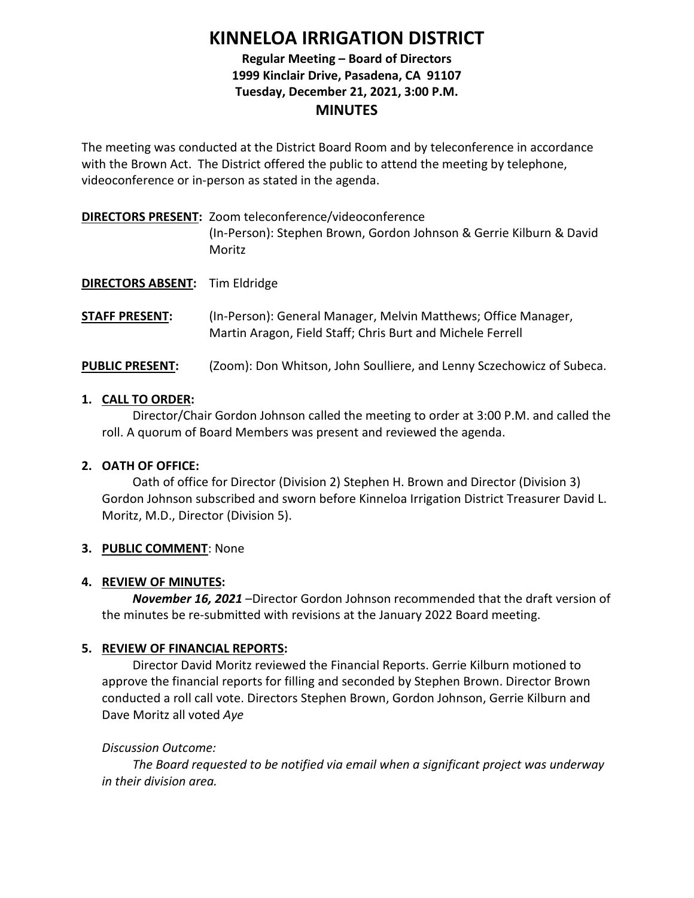# **KINNELOA IRRIGATION DISTRICT**

# **Regular Meeting – Board of Directors 1999 Kinclair Drive, Pasadena, CA 91107 Tuesday, December 21, 2021, 3:00 P.M. MINUTES**

The meeting was conducted at the District Board Room and by teleconference in accordance with the Brown Act. The District offered the public to attend the meeting by telephone, videoconference or in-person as stated in the agenda.

# **DIRECTORS PRESENT:** Zoom teleconference/videoconference (In-Person): Stephen Brown, Gordon Johnson & Gerrie Kilburn & David Moritz

**DIRECTORS ABSENT:** Tim Eldridge

**STAFF PRESENT:** (In-Person): General Manager, Melvin Matthews; Office Manager, Martin Aragon, Field Staff; Chris Burt and Michele Ferrell

# **PUBLIC PRESENT:** (Zoom): Don Whitson, John Soulliere, and Lenny Sczechowicz of Subeca.

## **1. CALL TO ORDER:**

Director/Chair Gordon Johnson called the meeting to order at 3:00 P.M. and called the roll. A quorum of Board Members was present and reviewed the agenda.

# **2. OATH OF OFFICE:**

Oath of office for Director (Division 2) Stephen H. Brown and Director (Division 3) Gordon Johnson subscribed and sworn before Kinneloa Irrigation District Treasurer David L. Moritz, M.D., Director (Division 5).

# **3. PUBLIC COMMENT**: None

# **4. REVIEW OF MINUTES:**

*November 16, 2021* –Director Gordon Johnson recommended that the draft version of the minutes be re-submitted with revisions at the January 2022 Board meeting.

# **5. REVIEW OF FINANCIAL REPORTS:**

Director David Moritz reviewed the Financial Reports. Gerrie Kilburn motioned to approve the financial reports for filling and seconded by Stephen Brown. Director Brown conducted a roll call vote. Directors Stephen Brown, Gordon Johnson, Gerrie Kilburn and Dave Moritz all voted *Aye*

# *Discussion Outcome:*

*The Board requested to be notified via email when a significant project was underway in their division area.*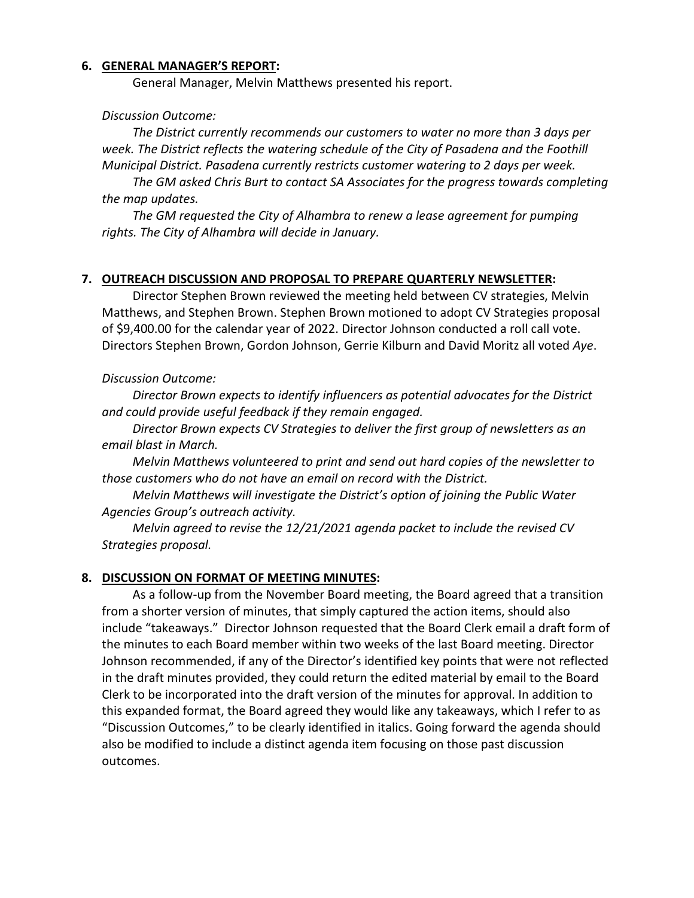### **6. GENERAL MANAGER'S REPORT:**

General Manager, Melvin Matthews presented his report.

#### *Discussion Outcome:*

*The District currently recommends our customers to water no more than 3 days per week. The District reflects the watering schedule of the City of Pasadena and the Foothill Municipal District. Pasadena currently restricts customer watering to 2 days per week.*

*The GM asked Chris Burt to contact SA Associates for the progress towards completing the map updates.*

*The GM requested the City of Alhambra to renew a lease agreement for pumping rights. The City of Alhambra will decide in January.* 

#### **7. OUTREACH DISCUSSION AND PROPOSAL TO PREPARE QUARTERLY NEWSLETTER:**

Director Stephen Brown reviewed the meeting held between CV strategies, Melvin Matthews, and Stephen Brown. Stephen Brown motioned to adopt CV Strategies proposal of \$9,400.00 for the calendar year of 2022. Director Johnson conducted a roll call vote. Directors Stephen Brown, Gordon Johnson, Gerrie Kilburn and David Moritz all voted *Aye*.

#### *Discussion Outcome:*

*Director Brown expects to identify influencers as potential advocates for the District and could provide useful feedback if they remain engaged.*

*Director Brown expects CV Strategies to deliver the first group of newsletters as an email blast in March.*

*Melvin Matthews volunteered to print and send out hard copies of the newsletter to those customers who do not have an email on record with the District.* 

*Melvin Matthews will investigate the District's option of joining the Public Water Agencies Group's outreach activity.*

*Melvin agreed to revise the 12/21/2021 agenda packet to include the revised CV Strategies proposal.*

#### **8. DISCUSSION ON FORMAT OF MEETING MINUTES:**

As a follow-up from the November Board meeting, the Board agreed that a transition from a shorter version of minutes, that simply captured the action items, should also include "takeaways." Director Johnson requested that the Board Clerk email a draft form of the minutes to each Board member within two weeks of the last Board meeting. Director Johnson recommended, if any of the Director's identified key points that were not reflected in the draft minutes provided, they could return the edited material by email to the Board Clerk to be incorporated into the draft version of the minutes for approval. In addition to this expanded format, the Board agreed they would like any takeaways, which I refer to as "Discussion Outcomes," to be clearly identified in italics. Going forward the agenda should also be modified to include a distinct agenda item focusing on those past discussion outcomes.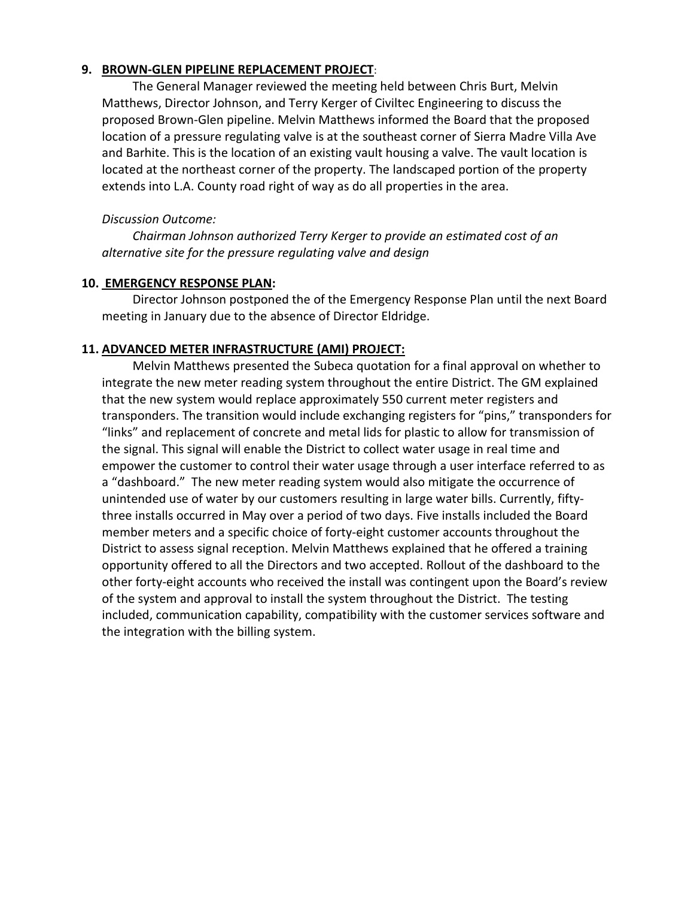## **9. BROWN-GLEN PIPELINE REPLACEMENT PROJECT**:

The General Manager reviewed the meeting held between Chris Burt, Melvin Matthews, Director Johnson, and Terry Kerger of Civiltec Engineering to discuss the proposed Brown-Glen pipeline. Melvin Matthews informed the Board that the proposed location of a pressure regulating valve is at the southeast corner of Sierra Madre Villa Ave and Barhite. This is the location of an existing vault housing a valve. The vault location is located at the northeast corner of the property. The landscaped portion of the property extends into L.A. County road right of way as do all properties in the area.

### *Discussion Outcome:*

*Chairman Johnson authorized Terry Kerger to provide an estimated cost of an alternative site for the pressure regulating valve and design*

### **10. EMERGENCY RESPONSE PLAN:**

Director Johnson postponed the of the Emergency Response Plan until the next Board meeting in January due to the absence of Director Eldridge.

## **11. ADVANCED METER INFRASTRUCTURE (AMI) PROJECT:**

Melvin Matthews presented the Subeca quotation for a final approval on whether to integrate the new meter reading system throughout the entire District. The GM explained that the new system would replace approximately 550 current meter registers and transponders. The transition would include exchanging registers for "pins," transponders for "links" and replacement of concrete and metal lids for plastic to allow for transmission of the signal. This signal will enable the District to collect water usage in real time and empower the customer to control their water usage through a user interface referred to as a "dashboard." The new meter reading system would also mitigate the occurrence of unintended use of water by our customers resulting in large water bills. Currently, fiftythree installs occurred in May over a period of two days. Five installs included the Board member meters and a specific choice of forty-eight customer accounts throughout the District to assess signal reception. Melvin Matthews explained that he offered a training opportunity offered to all the Directors and two accepted. Rollout of the dashboard to the other forty-eight accounts who received the install was contingent upon the Board's review of the system and approval to install the system throughout the District. The testing included, communication capability, compatibility with the customer services software and the integration with the billing system.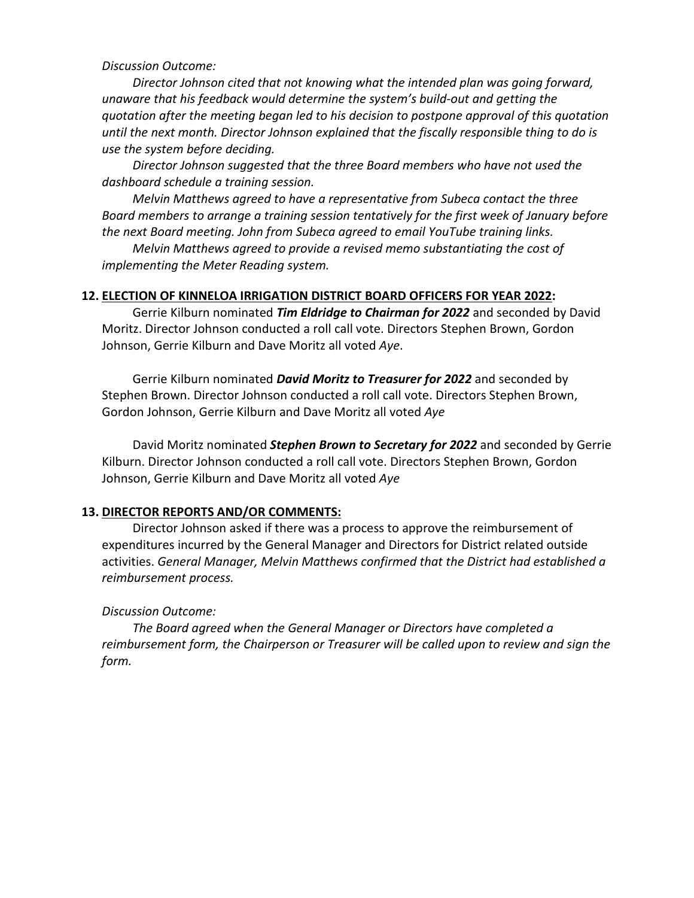*Discussion Outcome:*

*Director Johnson cited that not knowing what the intended plan was going forward, unaware that his feedback would determine the system's build-out and getting the quotation after the meeting began led to his decision to postpone approval of this quotation until the next month. Director Johnson explained that the fiscally responsible thing to do is use the system before deciding.* 

*Director Johnson suggested that the three Board members who have not used the dashboard schedule a training session.* 

*Melvin Matthews agreed to have a representative from Subeca contact the three Board members to arrange a training session tentatively for the first week of January before the next Board meeting. John from Subeca agreed to email YouTube training links.*

*Melvin Matthews agreed to provide a revised memo substantiating the cost of implementing the Meter Reading system.*

#### **12. ELECTION OF KINNELOA IRRIGATION DISTRICT BOARD OFFICERS FOR YEAR 2022:**

Gerrie Kilburn nominated *Tim Eldridge to Chairman for 2022* and seconded by David Moritz. Director Johnson conducted a roll call vote. Directors Stephen Brown, Gordon Johnson, Gerrie Kilburn and Dave Moritz all voted *Aye*.

Gerrie Kilburn nominated *David Moritz to Treasurer for 2022* and seconded by Stephen Brown. Director Johnson conducted a roll call vote. Directors Stephen Brown, Gordon Johnson, Gerrie Kilburn and Dave Moritz all voted *Aye*

David Moritz nominated *Stephen Brown to Secretary for 2022* and seconded by Gerrie Kilburn. Director Johnson conducted a roll call vote. Directors Stephen Brown, Gordon Johnson, Gerrie Kilburn and Dave Moritz all voted *Aye*

### **13. DIRECTOR REPORTS AND/OR COMMENTS:**

Director Johnson asked if there was a process to approve the reimbursement of expenditures incurred by the General Manager and Directors for District related outside activities. *General Manager, Melvin Matthews confirmed that the District had established a reimbursement process.*

### *Discussion Outcome:*

*The Board agreed when the General Manager or Directors have completed a reimbursement form, the Chairperson or Treasurer will be called upon to review and sign the form.*